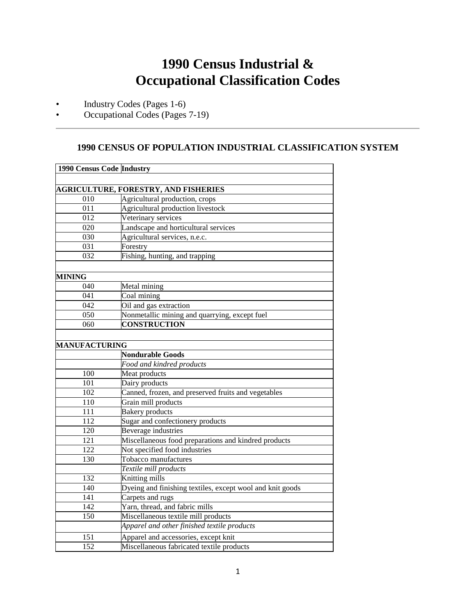## **1990 Census Industrial & Occupational Classification Codes**

- Industry Codes (Pages 1-6)
- Occupational Codes (Pages 7-19)

## **1990 CENSUS OF POPULATION INDUSTRIAL CLASSIFICATION SYSTEM**

| 1990 Census Code Industry |                                                           |
|---------------------------|-----------------------------------------------------------|
|                           |                                                           |
|                           | <b>AGRICULTURE, FORESTRY, AND FISHERIES</b>               |
| 010                       | Agricultural production, crops                            |
| 011                       | Agricultural production livestock                         |
| 012                       | Veterinary services                                       |
| 020                       | Landscape and horticultural services                      |
| 030                       | Agricultural services, n.e.c.                             |
| 031                       | Forestry                                                  |
| 032                       | Fishing, hunting, and trapping                            |
| MINING                    |                                                           |
| 040                       | Metal mining                                              |
| 041                       | Coal mining                                               |
| 042                       | Oil and gas extraction                                    |
| 050                       | Nonmetallic mining and quarrying, except fuel             |
| 060                       | <b>CONSTRUCTION</b>                                       |
|                           |                                                           |
| <b>MANUFACTURING</b>      |                                                           |
|                           | <b>Nondurable Goods</b>                                   |
|                           | Food and kindred products                                 |
| 100                       | Meat products                                             |
| 101                       | Dairy products                                            |
| 102                       | Canned, frozen, and preserved fruits and vegetables       |
| 110                       | Grain mill products                                       |
| 111                       | <b>Bakery</b> products                                    |
| 112                       | Sugar and confectionery products                          |
| 120                       | Beverage industries                                       |
| 121                       | Miscellaneous food preparations and kindred products      |
| 122                       | Not specified food industries                             |
| 130                       | Tobacco manufactures                                      |
|                           | Textile mill products                                     |
| 132                       | Knitting mills                                            |
| 140                       | Dyeing and finishing textiles, except wool and knit goods |
| 141                       | Carpets and rugs                                          |
| 142                       | Yarn, thread, and fabric mills                            |
| 150                       | Miscellaneous textile mill products                       |
|                           | Apparel and other finished textile products               |
| 151                       | Apparel and accessories, except knit                      |
| 152                       | Miscellaneous fabricated textile products                 |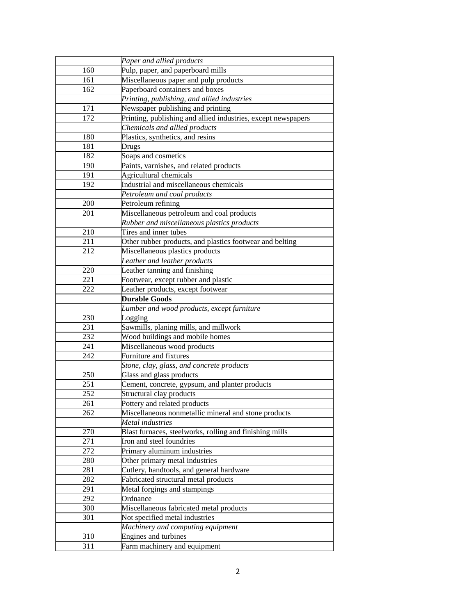|     | Paper and allied products                                     |
|-----|---------------------------------------------------------------|
| 160 | Pulp, paper, and paperboard mills                             |
| 161 | Miscellaneous paper and pulp products                         |
| 162 | Paperboard containers and boxes                               |
|     | Printing, publishing, and allied industries                   |
| 171 | Newspaper publishing and printing                             |
| 172 | Printing, publishing and allied industries, except newspapers |
|     | Chemicals and allied products                                 |
| 180 | Plastics, synthetics, and resins                              |
| 181 | Drugs                                                         |
| 182 | Soaps and cosmetics                                           |
| 190 | Paints, varnishes, and related products                       |
| 191 | Agricultural chemicals                                        |
| 192 | Industrial and miscellaneous chemicals                        |
|     | Petroleum and coal products                                   |
| 200 | Petroleum refining                                            |
| 201 | Miscellaneous petroleum and coal products                     |
|     | Rubber and miscellaneous plastics products                    |
| 210 | Tires and inner tubes                                         |
| 211 | Other rubber products, and plastics footwear and belting      |
| 212 | Miscellaneous plastics products                               |
|     | Leather and leather products                                  |
| 220 | Leather tanning and finishing                                 |
| 221 | Footwear, except rubber and plastic                           |
| 222 | Leather products, except footwear                             |
|     | <b>Durable Goods</b>                                          |
|     | Lumber and wood products, except furniture                    |
| 230 | Logging                                                       |
| 231 | Sawmills, planing mills, and millwork                         |
| 232 | Wood buildings and mobile homes                               |
| 241 | Miscellaneous wood products                                   |
| 242 | Furniture and fixtures                                        |
|     | Stone, clay, glass, and concrete products                     |
| 250 | Glass and glass products                                      |
| 251 | Cement, concrete, gypsum, and planter products                |
| 252 | Structural clay products                                      |
| 261 | Pottery and related products                                  |
| 262 | Miscellaneous nonmetallic mineral and stone products          |
|     | Metal industries                                              |
| 270 | Blast furnaces, steelworks, rolling and finishing mills       |
| 271 | Iron and steel foundries                                      |
| 272 | Primary aluminum industries                                   |
| 280 | Other primary metal industries                                |
| 281 | Cutlery, handtools, and general hardware                      |
| 282 | Fabricated structural metal products                          |
| 291 | Metal forgings and stampings                                  |
| 292 | Ordnance                                                      |
| 300 | Miscellaneous fabricated metal products                       |
| 301 | Not specified metal industries                                |
|     | Machinery and computing equipment                             |
| 310 | Engines and turbines                                          |
| 311 | Farm machinery and equipment                                  |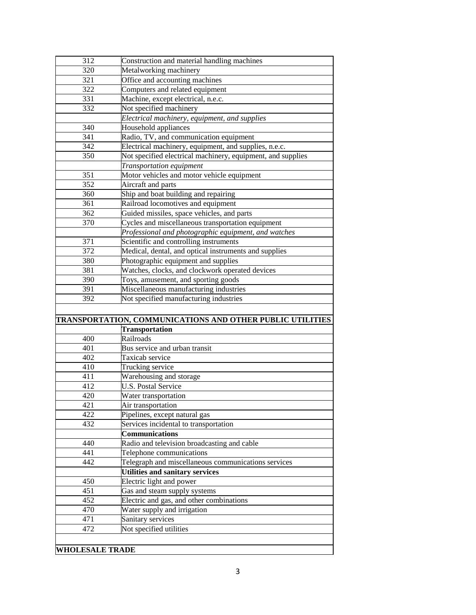| 312 | Construction and material handling machines                 |
|-----|-------------------------------------------------------------|
| 320 | Metalworking machinery                                      |
| 321 | Office and accounting machines                              |
| 322 | Computers and related equipment                             |
| 331 | Machine, except electrical, n.e.c.                          |
| 332 | Not specified machinery                                     |
|     | Electrical machinery, equipment, and supplies               |
| 340 | Household appliances                                        |
| 341 | Radio, TV, and communication equipment                      |
| 342 | Electrical machinery, equipment, and supplies, n.e.c.       |
| 350 | Not specified electrical machinery, equipment, and supplies |
|     | Transportation equipment                                    |
| 351 | Motor vehicles and motor vehicle equipment                  |
| 352 | Aircraft and parts                                          |
| 360 | Ship and boat building and repairing                        |
| 361 | Railroad locomotives and equipment                          |
| 362 | Guided missiles, space vehicles, and parts                  |
| 370 | Cycles and miscellaneous transportation equipment           |
|     | Professional and photographic equipment, and watches        |
| 371 | Scientific and controlling instruments                      |
| 372 | Medical, dental, and optical instruments and supplies       |
| 380 | Photographic equipment and supplies                         |
| 381 | Watches, clocks, and clockwork operated devices             |
|     |                                                             |
|     |                                                             |
| 390 | Toys, amusement, and sporting goods                         |
| 391 | Miscellaneous manufacturing industries                      |
| 392 | Not specified manufacturing industries                      |
|     |                                                             |
|     | TRANSPORTATION, COMMUNICATIONS AND OTHER PUBLIC UTILITIES   |
|     | <b>Transportation</b>                                       |
| 400 | Railroads                                                   |
| 401 | Bus service and urban transit                               |
| 402 | Taxicab service                                             |
| 410 | Trucking service                                            |
| 411 | Warehousing and storage                                     |
| 412 | <b>U.S. Postal Service</b>                                  |
| 420 | Water transportation                                        |
| 421 | Air transportation                                          |
| 422 | Pipelines, except natural gas                               |
| 432 | Services incidental to transportation                       |
|     | <b>Communications</b>                                       |
| 440 | Radio and television broadcasting and cable                 |
| 441 | Telephone communications                                    |
| 442 | Telegraph and miscellaneous communications services         |
|     | <b>Utilities and sanitary services</b>                      |
| 450 | Electric light and power                                    |
| 451 | Gas and steam supply systems                                |
| 452 | Electric and gas, and other combinations                    |
| 470 | Water supply and irrigation                                 |
| 471 | Sanitary services                                           |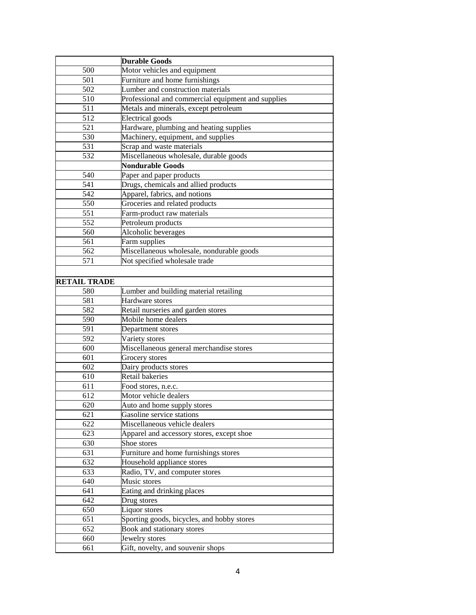|                     | <b>Durable Goods</b>                               |
|---------------------|----------------------------------------------------|
| 500                 | Motor vehicles and equipment                       |
| 501                 | Furniture and home furnishings                     |
| 502                 | Lumber and construction materials                  |
| 510                 | Professional and commercial equipment and supplies |
| 511                 | Metals and minerals, except petroleum              |
| 512                 | <b>Electrical</b> goods                            |
| 521                 | Hardware, plumbing and heating supplies            |
| 530                 | Machinery, equipment, and supplies                 |
| 531                 | Scrap and waste materials                          |
| 532                 | Miscellaneous wholesale, durable goods             |
|                     | <b>Nondurable Goods</b>                            |
| 540                 | Paper and paper products                           |
| 541                 | Drugs, chemicals and allied products               |
| 542                 | Apparel, fabrics, and notions                      |
| 550                 | Groceries and related products                     |
| 551                 | Farm-product raw materials                         |
| 552                 | Petroleum products                                 |
| 560                 | Alcoholic beverages                                |
| 561                 | Farm supplies                                      |
| 562                 | Miscellaneous wholesale, nondurable goods          |
| 571                 | Not specified wholesale trade                      |
|                     |                                                    |
| <b>RETAIL TRADE</b> |                                                    |
| 580                 | Lumber and building material retailing             |
| 581                 | Hardware stores                                    |
| 582                 | Retail nurseries and garden stores                 |
| 590                 | Mobile home dealers                                |
| 591                 | Department stores                                  |
| 592                 | Variety stores                                     |
| 600                 | Miscellaneous general merchandise stores           |
| 601                 | Grocery stores                                     |
| 602                 | Dairy products stores                              |
| 610                 | Retail bakeries                                    |
| 611                 | Food stores, n.e.c.                                |
| 612                 | Motor vehicle dealers                              |
| 620                 | Auto and home supply stores                        |
| 621                 | Gasoline service stations                          |
| 622                 | Miscellaneous vehicle dealers                      |
| 623                 | Apparel and accessory stores, except shoe          |
| 630                 | Shoe stores                                        |
| 631                 | Furniture and home furnishings stores              |
| 632                 | Household appliance stores                         |
| 633                 | Radio, TV, and computer stores                     |
| 640                 | Music stores                                       |
| 641                 | Eating and drinking places                         |
| 642                 | Drug stores                                        |
| 650                 | Liquor stores                                      |
| 651                 | Sporting goods, bicycles, and hobby stores         |
| 652                 | Book and stationary stores                         |
| 660                 | Jewelry stores                                     |
| 661                 | Gift, novelty, and souvenir shops                  |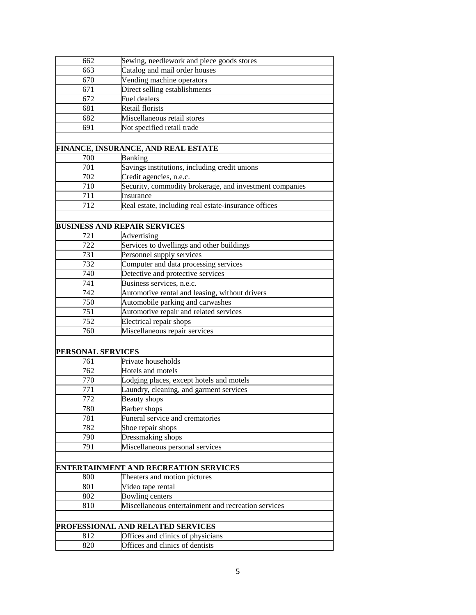| 662               | Sewing, needlework and piece goods stores               |
|-------------------|---------------------------------------------------------|
| 663               | Catalog and mail order houses                           |
| 670               | Vending machine operators                               |
| 671               | Direct selling establishments                           |
| 672               | Fuel dealers                                            |
| 681               | Retail florists                                         |
| 682               | Miscellaneous retail stores                             |
| 691               | Not specified retail trade                              |
|                   |                                                         |
|                   | FINANCE, INSURANCE, AND REAL ESTATE                     |
| 700               | Banking                                                 |
| 701               | Savings institutions, including credit unions           |
| 702               | Credit agencies, n.e.c.                                 |
| 710               | Security, commodity brokerage, and investment companies |
| 711               | Insurance                                               |
| 712               | Real estate, including real estate-insurance offices    |
|                   |                                                         |
|                   |                                                         |
|                   | <b>BUSINESS AND REPAIR SERVICES</b>                     |
| 721               | Advertising                                             |
| 722               | Services to dwellings and other buildings               |
| 731               | Personnel supply services                               |
| 732               | Computer and data processing services                   |
| 740               | Detective and protective services                       |
| 741               | Business services, n.e.c.                               |
| 742               | Automotive rental and leasing, without drivers          |
| 750               | Automobile parking and carwashes                        |
| 751               | Automotive repair and related services                  |
| 752               | Electrical repair shops                                 |
| 760               | Miscellaneous repair services                           |
|                   |                                                         |
| PERSONAL SERVICES |                                                         |
| 761               | Private households                                      |
| 762               | Hotels and motels                                       |
| 770               | Lodging places, except hotels and motels                |
| 771               | Laundry, cleaning, and garment services                 |
| 772               | <b>Beauty</b> shops                                     |
| 780               | <b>Barber</b> shops                                     |
| 781               | Funeral service and crematories                         |
| 782               | Shoe repair shops                                       |
| 790               | Dressmaking shops                                       |
| 791               | Miscellaneous personal services                         |
|                   |                                                         |
|                   | ENTERTAINMENT AND RECREATION SERVICES                   |
| 800               | Theaters and motion pictures                            |
| 801               | Video tape rental                                       |
|                   | <b>Bowling centers</b>                                  |
| 802               |                                                         |
| 810               | Miscellaneous entertainment and recreation services     |
|                   |                                                         |
|                   | PROFESSIONAL AND RELATED SERVICES                       |
| 812               | Offices and clinics of physicians                       |
| 820               | Offices and clinics of dentists                         |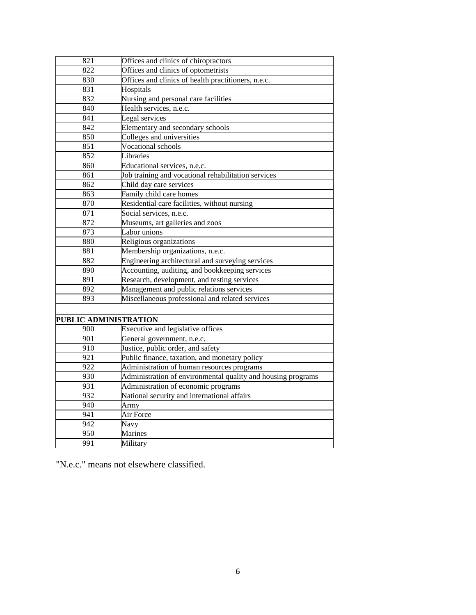| 821                   | Offices and clinics of chiropractors                         |
|-----------------------|--------------------------------------------------------------|
| 822                   | Offices and clinics of optometrists                          |
| 830                   | Offices and clinics of health practitioners, n.e.c.          |
| 831                   | Hospitals                                                    |
| 832                   | Nursing and personal care facilities                         |
| 840                   | Health services, n.e.c.                                      |
| 841                   | Legal services                                               |
| 842                   | Elementary and secondary schools                             |
| 850                   | Colleges and universities                                    |
| 851                   | Vocational schools                                           |
| 852                   | Libraries                                                    |
| 860                   | Educational services, n.e.c.                                 |
| 861                   | Job training and vocational rehabilitation services          |
| 862                   | Child day care services                                      |
| 863                   | Family child care homes                                      |
| 870                   | Residential care facilities, without nursing                 |
| 871                   | Social services, n.e.c.                                      |
| 872                   | Museums, art galleries and zoos                              |
| 873                   | Labor unions                                                 |
| 880                   | Religious organizations                                      |
| 881                   | Membership organizations, n.e.c.                             |
| 882                   | Engineering architectural and surveying services             |
| 890                   | Accounting, auditing, and bookkeeping services               |
| 891                   | Research, development, and testing services                  |
| 892                   | Management and public relations services                     |
| 893                   | Miscellaneous professional and related services              |
|                       |                                                              |
| PUBLIC ADMINISTRATION |                                                              |
| 900                   | Executive and legislative offices                            |
| 901                   | General government, n.e.c.                                   |
| 910                   | Justice, public order, and safety                            |
| $\overline{921}$      | Public finance, taxation, and monetary policy                |
| 922                   | Administration of human resources programs                   |
| 930                   | Administration of environmental quality and housing programs |
| 931                   | Administration of economic programs                          |
| 932                   | National security and international affairs                  |
| 940                   | Army                                                         |
| 941                   | Air Force                                                    |
| 942                   | Navy                                                         |
| 950                   | Marines                                                      |
| 991                   | Military                                                     |

"N.e.c." means not elsewhere classified.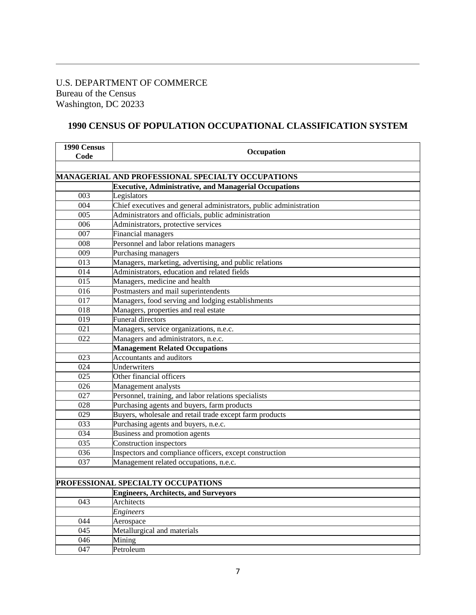## U.S. DEPARTMENT OF COMMERCE Bureau of the Census Washington, DC 20233

## **1990 CENSUS OF POPULATION OCCUPATIONAL CLASSIFICATION SYSTEM**

| 1990 Census<br>Code | Occupation                                                         |
|---------------------|--------------------------------------------------------------------|
|                     |                                                                    |
|                     | MANAGERIAL AND PROFESSIONAL SPECIALTY OCCUPATIONS                  |
|                     | <b>Executive, Administrative, and Managerial Occupations</b>       |
| 003                 | Legislators                                                        |
| 004                 | Chief executives and general administrators, public administration |
| 005                 | Administrators and officials, public administration                |
| 006                 | Administrators, protective services                                |
| 007                 | Financial managers                                                 |
| 008                 | Personnel and labor relations managers                             |
| 009                 | Purchasing managers                                                |
| 013                 | Managers, marketing, advertising, and public relations             |
| 014                 | Administrators, education and related fields                       |
| 015                 | Managers, medicine and health                                      |
| 016                 | Postmasters and mail superintendents                               |
| 017                 | Managers, food serving and lodging establishments                  |
| 018                 | Managers, properties and real estate                               |
| 019                 | Funeral directors                                                  |
| 021                 | Managers, service organizations, n.e.c.                            |
| 022                 | Managers and administrators, n.e.c.                                |
|                     | <b>Management Related Occupations</b>                              |
| 023                 | Accountants and auditors                                           |
| 024                 | Underwriters                                                       |
| 025                 | Other financial officers                                           |
| 026                 | Management analysts                                                |
| 027                 | Personnel, training, and labor relations specialists               |
| 028                 | Purchasing agents and buyers, farm products                        |
| 029                 | Buyers, wholesale and retail trade except farm products            |
| 033                 | Purchasing agents and buyers, n.e.c.                               |
| 034                 | Business and promotion agents                                      |
| 035                 | Construction inspectors                                            |
| 036                 | Inspectors and compliance officers, except construction            |
| 037                 | Management related occupations, n.e.c.                             |
|                     |                                                                    |
|                     | PROFESSIONAL SPECIALTY OCCUPATIONS                                 |
|                     | <b>Engineers, Architects, and Surveyors</b>                        |
| 043                 | Architects                                                         |
|                     | <b>Engineers</b>                                                   |
| 044                 | Aerospace                                                          |
| 045                 | Metallurgical and materials                                        |
| 046                 | Mining                                                             |
| 047                 | Petroleum                                                          |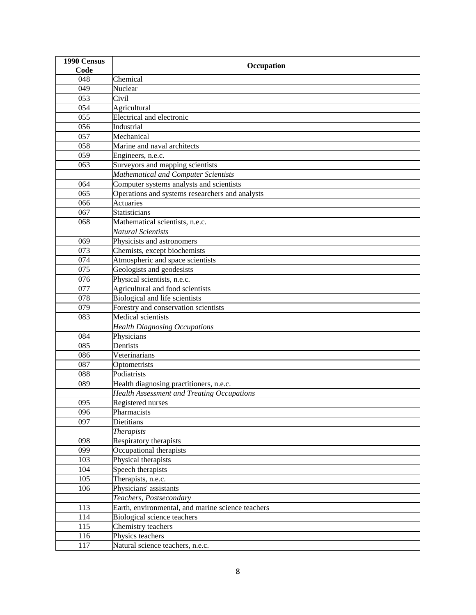| 1990 Census | Occupation                                        |
|-------------|---------------------------------------------------|
| Code        |                                                   |
| 048         | Chemical                                          |
| 049         | Nuclear                                           |
| 053         | Civil                                             |
| 054         | Agricultural                                      |
| 055         | <b>Electrical and electronic</b>                  |
| 056         | Industrial                                        |
| 057         | Mechanical                                        |
| 058         | Marine and naval architects                       |
| 059         | Engineers, n.e.c.                                 |
| 063         | Surveyors and mapping scientists                  |
|             | Mathematical and Computer Scientists              |
| 064         | Computer systems analysts and scientists          |
| 065         | Operations and systems researchers and analysts   |
| 066         | <b>Actuaries</b>                                  |
| 067         | Statisticians                                     |
| 068         | Mathematical scientists, n.e.c.                   |
|             | Natural Scientists                                |
| 069         | Physicists and astronomers                        |
| 073         | Chemists, except biochemists                      |
| 074         | Atmospheric and space scientists                  |
| 075         | Geologists and geodesists                         |
| 076         | Physical scientists, n.e.c.                       |
| 077         | Agricultural and food scientists                  |
| 078         | <b>Biological and life scientists</b>             |
| 079         | Forestry and conservation scientists              |
| 083         | Medical scientists                                |
|             | <b>Health Diagnosing Occupations</b>              |
| 084         | Physicians                                        |
| 085         | Dentists                                          |
| 086         | Veterinarians                                     |
| 087         | Optometrists                                      |
| 088         | Podiatrists                                       |
| 089         | Health diagnosing practitioners, n.e.c.           |
|             | <b>Health Assessment and Treating Occupations</b> |
| 095         | Registered nurses                                 |
| 096         | Pharmacists                                       |
| 097         | <b>Dietitians</b>                                 |
|             | <b>Therapists</b>                                 |
| 098         | Respiratory therapists                            |
| 099         | Occupational therapists                           |
| 103         | Physical therapists                               |
| 104         | Speech therapists                                 |
| 105         | Therapists, n.e.c.                                |
| 106         | Physicians' assistants                            |
|             | Teachers, Postsecondary                           |
| 113         | Earth, environmental, and marine science teachers |
| 114         | Biological science teachers                       |
| 115         | Chemistry teachers                                |
| 116         | Physics teachers                                  |
| 117         | Natural science teachers, n.e.c.                  |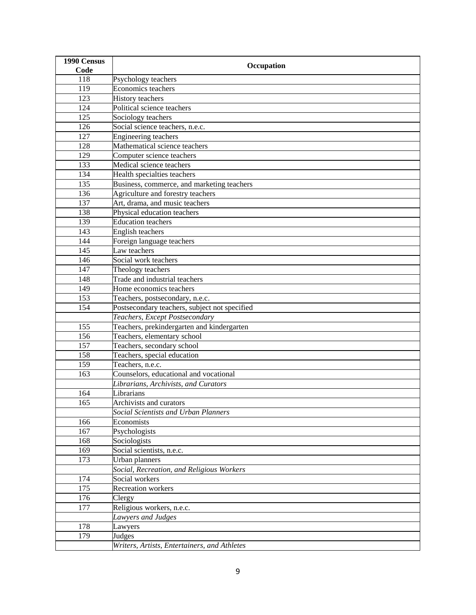| 1990 Census | Occupation                                    |
|-------------|-----------------------------------------------|
| Code        |                                               |
| 118         | Psychology teachers                           |
| 119         | Economics teachers                            |
| 123         | <b>History</b> teachers                       |
| 124         | Political science teachers                    |
| 125         | Sociology teachers                            |
| 126         | Social science teachers, n.e.c.               |
| 127         | <b>Engineering teachers</b>                   |
| 128         | Mathematical science teachers                 |
| 129         | Computer science teachers                     |
| 133         | Medical science teachers                      |
| 134         | Health specialties teachers                   |
| 135         | Business, commerce, and marketing teachers    |
| 136         | Agriculture and forestry teachers             |
| 137         | Art, drama, and music teachers                |
| 138         | Physical education teachers                   |
| 139         | <b>Education teachers</b>                     |
| 143         | <b>English teachers</b>                       |
| 144         | Foreign language teachers                     |
| 145         | Law teachers                                  |
| 146         | Social work teachers                          |
| 147         | Theology teachers                             |
| 148         | Trade and industrial teachers                 |
| 149         | Home economics teachers                       |
| 153         | Teachers, postsecondary, n.e.c.               |
| 154         | Postsecondary teachers, subject not specified |
|             | Teachers, Except Postsecondary                |
| 155         | Teachers, prekindergarten and kindergarten    |
| 156         | Teachers, elementary school                   |
| 157         | Teachers, secondary school                    |
| 158         | Teachers, special education                   |
| 159         | Teachers, n.e.c.                              |
| 163         | Counselors, educational and vocational        |
|             | Librarians, Archivists, and Curators          |
| 164         | Librarians                                    |
| 165         | Archivists and curators                       |
|             | Social Scientists and Urban Planners          |
| 166         | Economists                                    |
| 167         | Psychologists                                 |
| 168         | Sociologists                                  |
| 169         | Social scientists, n.e.c.                     |
| 173         | Urban planners                                |
|             | Social, Recreation, and Religious Workers     |
| 174         | Social workers                                |
| 175         | <b>Recreation</b> workers                     |
| 176         | Clergy                                        |
| 177         | Religious workers, n.e.c.                     |
|             | Lawyers and Judges                            |
| 178         | Lawyers                                       |
| 179         | Judges                                        |
|             | Writers, Artists, Entertainers, and Athletes  |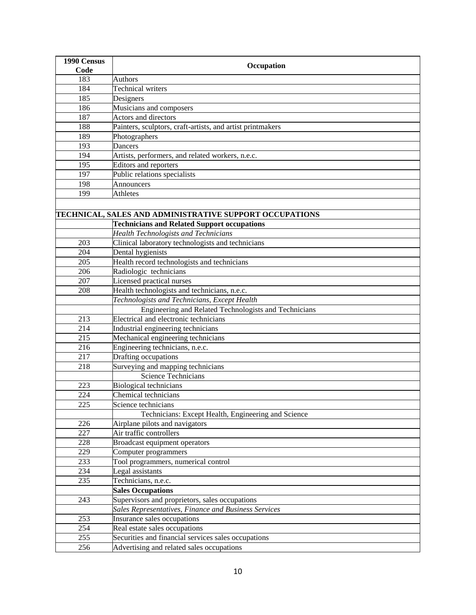| 1990 Census |                                                            |
|-------------|------------------------------------------------------------|
| Code        | Occupation                                                 |
| 183         | <b>Authors</b>                                             |
| 184         | <b>Technical writers</b>                                   |
| 185         | Designers                                                  |
| 186         | Musicians and composers                                    |
| 187         | Actors and directors                                       |
| 188         | Painters, sculptors, craft-artists, and artist printmakers |
| 189         | Photographers                                              |
| 193         | Dancers                                                    |
| 194         | Artists, performers, and related workers, n.e.c.           |
| 195         | Editors and reporters                                      |
| 197         | Public relations specialists                               |
| 198         | Announcers                                                 |
| 199         | Athletes                                                   |
|             |                                                            |
|             | TECHNICAL, SALES AND ADMINISTRATIVE SUPPORT OCCUPATIONS    |
|             | <b>Technicians and Related Support occupations</b>         |
|             | <b>Health Technologists and Technicians</b>                |
| 203         | Clinical laboratory technologists and technicians          |
| 204         | Dental hygienists                                          |
| 205         | Health record technologists and technicians                |
| 206         | Radiologic technicians                                     |
| 207         | Licensed practical nurses                                  |
| 208         | Health technologists and technicians, n.e.c.               |
|             | Technologists and Technicians, Except Health               |
|             | Engineering and Related Technologists and Technicians      |
| 213         | Electrical and electronic technicians                      |
| 214         | Industrial engineering technicians                         |
| 215         | Mechanical engineering technicians                         |
| 216         | Engineering technicians, n.e.c.                            |
| 217         | Drafting occupations                                       |
| 218         | Surveying and mapping technicians                          |
|             | <b>Science Technicians</b>                                 |
| 223         | <b>Biological technicians</b>                              |
| 224         | Chemical technicians                                       |
| 225         | Science technicians                                        |
|             | Technicians: Except Health, Engineering and Science        |
| 226         | Airplane pilots and navigators                             |
| 227         | Air traffic controllers                                    |
| 228         | <b>Broadcast equipment operators</b>                       |
| 229         | Computer programmers                                       |
| 233         | Tool programmers, numerical control                        |
| 234         | Legal assistants                                           |
| 235         | Technicians, n.e.c.                                        |
|             | <b>Sales Occupations</b>                                   |
| 243         | Supervisors and proprietors, sales occupations             |
|             | Sales Representatives, Finance and Business Services       |
| 253         | Insurance sales occupations                                |
| 254         | Real estate sales occupations                              |
| 255         | Securities and financial services sales occupations        |
| 256         | Advertising and related sales occupations                  |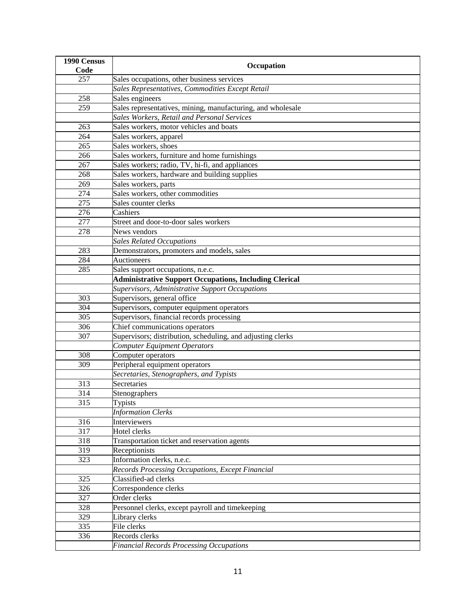| 1990 Census |                                                               |
|-------------|---------------------------------------------------------------|
| Code        | Occupation                                                    |
| 257         | Sales occupations, other business services                    |
|             | Sales Representatives, Commodities Except Retail              |
| 258         | Sales engineers                                               |
| 259         | Sales representatives, mining, manufacturing, and wholesale   |
|             | Sales Workers, Retail and Personal Services                   |
| 263         | Sales workers, motor vehicles and boats                       |
| 264         | Sales workers, apparel                                        |
| 265         | Sales workers, shoes                                          |
| 266         | Sales workers, furniture and home furnishings                 |
| 267         | Sales workers; radio, TV, hi-fi, and appliances               |
| 268         | Sales workers, hardware and building supplies                 |
| 269         | Sales workers, parts                                          |
| 274         | Sales workers, other commodities                              |
| 275         | Sales counter clerks                                          |
| 276         | Cashiers                                                      |
| 277         | Street and door-to-door sales workers                         |
| 278         | News vendors                                                  |
|             | <b>Sales Related Occupations</b>                              |
| 283         | Demonstrators, promoters and models, sales                    |
| 284         | <b>Auctioneers</b>                                            |
| 285         | Sales support occupations, n.e.c.                             |
|             | <b>Administrative Support Occupations, Including Clerical</b> |
|             | Supervisors, Administrative Support Occupations               |
| 303         | Supervisors, general office                                   |
| 304         | Supervisors, computer equipment operators                     |
| 305         | Supervisors, financial records processing                     |
| 306         | Chief communications operators                                |
| 307         | Supervisors; distribution, scheduling, and adjusting clerks   |
|             | <b>Computer Equipment Operators</b>                           |
| 308         | Computer operators                                            |
| 309         | Peripheral equipment operators                                |
|             | Secretaries, Stenographers, and Typists                       |
| 313         | Secretaries                                                   |
| 314         | Stenographers                                                 |
| 315         | Typists                                                       |
|             | <b>Information Clerks</b>                                     |
| 316         | Interviewers                                                  |
| 317         | Hotel clerks                                                  |
| 318         | Transportation ticket and reservation agents                  |
| 319         | Receptionists                                                 |
| 323         | Information clerks, n.e.c.                                    |
|             | Records Processing Occupations, Except Financial              |
| 325         | Classified-ad clerks                                          |
| 326         | Correspondence clerks                                         |
| 327         | Order clerks                                                  |
| 328         | Personnel clerks, except payroll and timekeeping              |
| 329         | Library clerks                                                |
| 335         | File clerks                                                   |
| 336         | Records clerks                                                |
|             | <b>Financial Records Processing Occupations</b>               |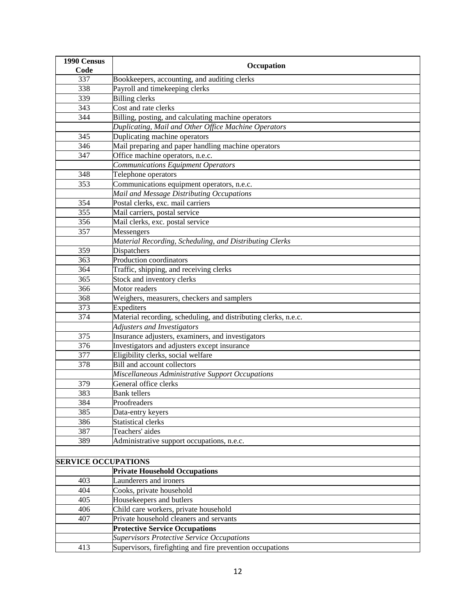| 1990 Census                |                                                                 |
|----------------------------|-----------------------------------------------------------------|
| Code                       | Occupation                                                      |
| 337                        | Bookkeepers, accounting, and auditing clerks                    |
| 338                        | Payroll and timekeeping clerks                                  |
| 339                        | <b>Billing clerks</b>                                           |
| 343                        | Cost and rate clerks                                            |
| 344                        | Billing, posting, and calculating machine operators             |
|                            | Duplicating, Mail and Other Office Machine Operators            |
| 345                        | Duplicating machine operators                                   |
| 346                        | Mail preparing and paper handling machine operators             |
| 347                        | Office machine operators, n.e.c.                                |
|                            | <b>Communications Equipment Operators</b>                       |
| 348                        | Telephone operators                                             |
| 353                        | Communications equipment operators, n.e.c.                      |
|                            | Mail and Message Distributing Occupations                       |
| 354                        | Postal clerks, exc. mail carriers                               |
| 355                        | Mail carriers, postal service                                   |
| 356                        | Mail clerks, exc. postal service                                |
| 357                        | Messengers                                                      |
|                            | Material Recording, Scheduling, and Distributing Clerks         |
| 359                        | Dispatchers                                                     |
| 363                        | Production coordinators                                         |
| 364                        | Traffic, shipping, and receiving clerks                         |
| 365                        | Stock and inventory clerks                                      |
| 366                        | Motor readers                                                   |
| 368                        | Weighers, measurers, checkers and samplers                      |
| 373                        | Expediters                                                      |
| 374                        | Material recording, scheduling, and distributing clerks, n.e.c. |
|                            | Adjusters and Investigators                                     |
| 375                        | Insurance adjusters, examiners, and investigators               |
| 376                        | Investigators and adjusters except insurance                    |
| 377                        | Eligibility clerks, social welfare                              |
| 378                        | <b>Bill and account collectors</b>                              |
|                            | Miscellaneous Administrative Support Occupations                |
| 379                        | General office clerks                                           |
| 383                        | <b>Bank</b> tellers                                             |
| 384                        | Proofreaders                                                    |
| 385                        | Data-entry keyers                                               |
| 386                        | <b>Statistical clerks</b>                                       |
| 387                        | Teachers' aides                                                 |
| 389                        | Administrative support occupations, n.e.c.                      |
|                            |                                                                 |
| <b>SERVICE OCCUPATIONS</b> |                                                                 |
|                            | <b>Private Household Occupations</b>                            |
| 403                        | Launderers and ironers                                          |
| 404                        | Cooks, private household                                        |
| 405                        | Housekeepers and butlers                                        |
| 406                        | Child care workers, private household                           |
| 407                        | Private household cleaners and servants                         |
|                            | <b>Protective Service Occupations</b>                           |
|                            | <b>Supervisors Protective Service Occupations</b>               |
| 413                        | Supervisors, firefighting and fire prevention occupations       |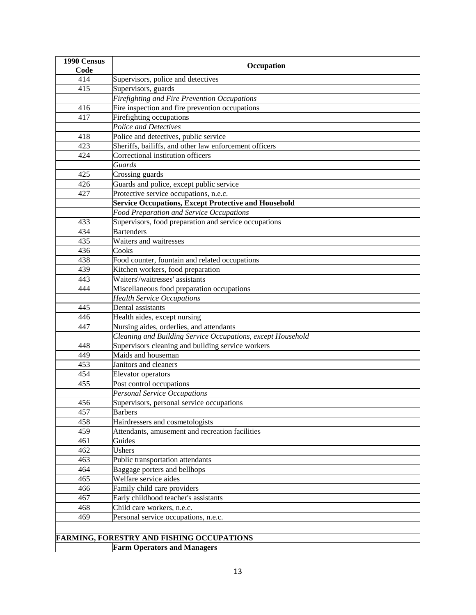| 1990 Census | Occupation                                                  |
|-------------|-------------------------------------------------------------|
| Code        |                                                             |
| 414         | Supervisors, police and detectives                          |
| 415         | Supervisors, guards                                         |
|             | <b>Firefighting and Fire Prevention Occupations</b>         |
| 416         | Fire inspection and fire prevention occupations             |
| 417         | Firefighting occupations                                    |
|             | Police and Detectives                                       |
| 418         | Police and detectives, public service                       |
| 423         | Sheriffs, bailiffs, and other law enforcement officers      |
| 424         | Correctional institution officers                           |
|             | Guards                                                      |
| 425         | Crossing guards                                             |
| 426         | Guards and police, except public service                    |
| 427         | Protective service occupations, n.e.c.                      |
|             | <b>Service Occupations, Except Protective and Household</b> |
|             | Food Preparation and Service Occupations                    |
| 433         | Supervisors, food preparation and service occupations       |
| 434         | <b>Bartenders</b>                                           |
| 435         | Waiters and waitresses                                      |
| 436         | Cooks                                                       |
| 438         | Food counter, fountain and related occupations              |
| 439         | Kitchen workers, food preparation                           |
| 443         | Waiters'/waitresses' assistants                             |
| 444         | Miscellaneous food preparation occupations                  |
|             | <b>Health Service Occupations</b>                           |
| 445         | Dental assistants                                           |
| 446         | Health aides, except nursing                                |
| 447         | Nursing aides, orderlies, and attendants                    |
|             | Cleaning and Building Service Occupations, except Household |
| 448         | Supervisors cleaning and building service workers           |
| 449         | Maids and houseman                                          |
| 453         | Janitors and cleaners                                       |
| 454         | Elevator operators                                          |
| 455         | Post control occupations                                    |
|             | <b>Personal Service Occupations</b>                         |
| 456         | Supervisors, personal service occupations                   |
| 457         | <b>Barbers</b>                                              |
| 458         | Hairdressers and cosmetologists                             |
| 459         | Attendants, amusement and recreation facilities             |
| 461         | Guides                                                      |
| 462         | Ushers                                                      |
| 463         | Public transportation attendants                            |
| 464         | Baggage porters and bellhops                                |
| 465         | Welfare service aides                                       |
| 466         | Family child care providers                                 |
| 467         | Early childhood teacher's assistants                        |
| 468         | Child care workers, n.e.c.                                  |
| 469         | Personal service occupations, n.e.c.                        |
|             |                                                             |
|             | <b>FARMING, FORESTRY AND FISHING OCCUPATIONS</b>            |
|             | <b>Farm Operators and Managers</b>                          |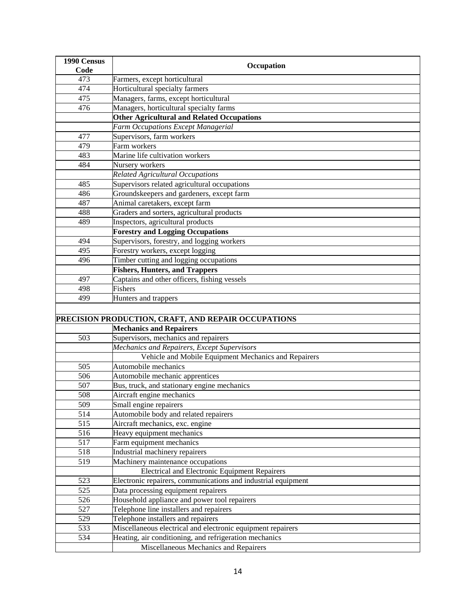| 1990 Census<br>Code | Occupation                                                    |
|---------------------|---------------------------------------------------------------|
| 473                 | Farmers, except horticultural                                 |
| 474                 | Horticultural specialty farmers                               |
| 475                 | Managers, farms, except horticultural                         |
| 476                 | Managers, horticultural specialty farms                       |
|                     | <b>Other Agricultural and Related Occupations</b>             |
|                     | Farm Occupations Except Managerial                            |
| 477                 | Supervisors, farm workers                                     |
| 479                 | Farm workers                                                  |
| 483                 | Marine life cultivation workers                               |
| 484                 | Nursery workers                                               |
|                     | Related Agricultural Occupations                              |
| 485                 | Supervisors related agricultural occupations                  |
| 486                 | Groundskeepers and gardeners, except farm                     |
| 487                 | Animal caretakers, except farm                                |
| 488                 | Graders and sorters, agricultural products                    |
| 489                 | Inspectors, agricultural products                             |
|                     | <b>Forestry and Logging Occupations</b>                       |
| 494                 | Supervisors, forestry, and logging workers                    |
| 495                 | Forestry workers, except logging                              |
| 496                 | Timber cutting and logging occupations                        |
|                     | <b>Fishers, Hunters, and Trappers</b>                         |
| 497                 | Captains and other officers, fishing vessels                  |
| 498                 | Fishers                                                       |
| 499                 | Hunters and trappers                                          |
|                     |                                                               |
|                     | PRECISION PRODUCTION, CRAFT, AND REPAIR OCCUPATIONS           |
|                     | <b>Mechanics and Repairers</b>                                |
| 503                 | Supervisors, mechanics and repairers                          |
|                     | Mechanics and Repairers, Except Supervisors                   |
|                     | Vehicle and Mobile Equipment Mechanics and Repairers          |
| 505                 | Automobile mechanics                                          |
| 506                 | Automobile mechanic apprentices                               |
| 507                 | Bus, truck, and stationary engine mechanics                   |
| 508                 | Aircraft engine mechanics                                     |
| 509                 | Small engine repairers                                        |
| 514                 | Automobile body and related repairers                         |
| 515                 | Aircraft mechanics, exc. engine                               |
| 516                 | Heavy equipment mechanics                                     |
| 517                 | Farm equipment mechanics                                      |
| 518                 | Industrial machinery repairers                                |
| 519                 | Machinery maintenance occupations                             |
|                     | <b>Electrical and Electronic Equipment Repairers</b>          |
| 523                 | Electronic repairers, communications and industrial equipment |
| 525                 | Data processing equipment repairers                           |
| 526                 | Household appliance and power tool repairers                  |
| 527                 | Telephone line installers and repairers                       |
| 529                 | Telephone installers and repairers                            |
| 533                 | Miscellaneous electrical and electronic equipment repairers   |
| 534                 | Heating, air conditioning, and refrigeration mechanics        |
|                     | Miscellaneous Mechanics and Repairers                         |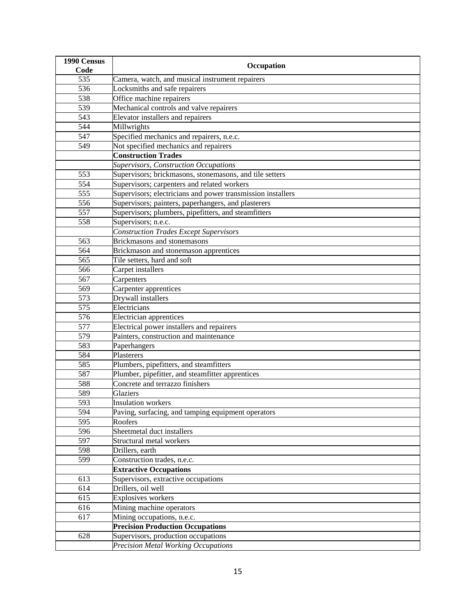| 1990 Census      | Occupation                                                  |
|------------------|-------------------------------------------------------------|
| Code             |                                                             |
| 535              | Camera, watch, and musical instrument repairers             |
| 536              | Locksmiths and safe repairers                               |
| 538              | Office machine repairers                                    |
| 539              | Mechanical controls and valve repairers                     |
| 543              | Elevator installers and repairers                           |
| 544              | Millwrights                                                 |
| 547              | Specified mechanics and repairers, n.e.c.                   |
| 549              | Not specified mechanics and repairers                       |
|                  | <b>Construction Trades</b>                                  |
|                  | <b>Supervisors, Construction Occupations</b>                |
| 553              | Supervisors; brickmasons, stonemasons, and tile setters     |
| 554              | Supervisors; carpenters and related workers                 |
| 555              | Supervisors; electricians and power transmission installers |
| 556              | Supervisors; painters, paperhangers, and plasterers         |
| 557              | Supervisors; plumbers, pipefitters, and steamfitters        |
| 558              | Supervisors; n.e.c.                                         |
|                  | <b>Construction Trades Except Supervisors</b>               |
| 563              | Brickmasons and stonemasons                                 |
| 564              | Brickmason and stonemason apprentices                       |
| 565              | Tile setters, hard and soft                                 |
| 566              | Carpet installers                                           |
| 567              | Carpenters                                                  |
| 569              | Carpenter apprentices                                       |
| 573              | Drywall installers                                          |
| 575              | Electricians                                                |
| $\overline{576}$ | Electrician apprentices                                     |
| 577              | Electrical power installers and repairers                   |
| 579              | Painters, construction and maintenance                      |
| 583              | Paperhangers                                                |
| 584              | Plasterers                                                  |
| 585              | Plumbers, pipefitters, and steamfitters                     |
| 587              | Plumber, pipefitter, and steamfitter apprentices            |
| 588              | Concrete and terrazzo finishers                             |
| 589              | Glaziers                                                    |
| 593              | <b>Insulation</b> workers                                   |
| 594              | Paving, surfacing, and tamping equipment operators          |
| 595              | Roofers                                                     |
| 596              | Sheetmetal duct installers                                  |
| 597              | Structural metal workers                                    |
| 598              | Drillers, earth                                             |
| 599              | Construction trades, n.e.c.                                 |
|                  | <b>Extractive Occupations</b>                               |
| 613              | Supervisors, extractive occupations                         |
| 614              | Drillers, oil well                                          |
| 615              | Explosives workers                                          |
| 616              | Mining machine operators                                    |
| 617              | Mining occupations, n.e.c.                                  |
|                  | <b>Precision Production Occupations</b>                     |
| 628              | Supervisors, production occupations                         |
|                  | <b>Precision Metal Working Occupations</b>                  |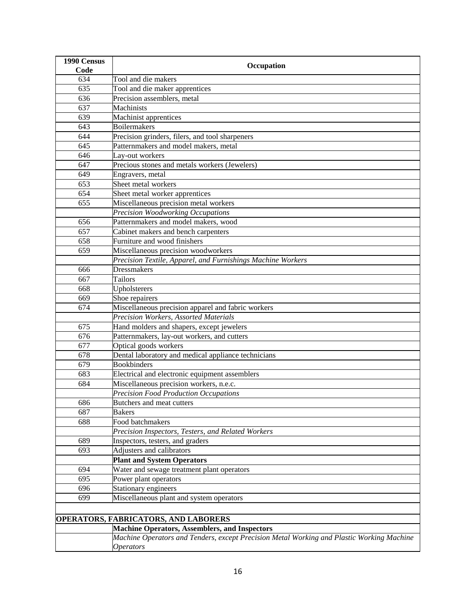| 1990 Census      | Occupation                                                                                |
|------------------|-------------------------------------------------------------------------------------------|
| Code             |                                                                                           |
| 634              | Tool and die makers                                                                       |
| 635              | Tool and die maker apprentices                                                            |
| 636              | Precision assemblers, metal                                                               |
| 637              | Machinists                                                                                |
| 639              | Machinist apprentices                                                                     |
| 643              | <b>Boilermakers</b>                                                                       |
| 644              | Precision grinders, filers, and tool sharpeners                                           |
| 645              | Patternmakers and model makers, metal                                                     |
| 646              | Lay-out workers                                                                           |
| 647              | Precious stones and metals workers (Jewelers)                                             |
| 649              | Engravers, metal                                                                          |
| 653              | Sheet metal workers                                                                       |
| 654              | Sheet metal worker apprentices                                                            |
| 655              | Miscellaneous precision metal workers                                                     |
|                  | Precision Woodworking Occupations                                                         |
| 656              | Patternmakers and model makers, wood                                                      |
| 657              | Cabinet makers and bench carpenters                                                       |
| 658              | Furniture and wood finishers                                                              |
| 659              | Miscellaneous precision woodworkers                                                       |
|                  | Precision Textile, Apparel, and Furnishings Machine Workers                               |
| 666              | <b>Dressmakers</b>                                                                        |
| 667              | Tailors                                                                                   |
| 668              | Upholsterers                                                                              |
| 669              | Shoe repairers                                                                            |
| 674              | Miscellaneous precision apparel and fabric workers                                        |
|                  | Precision Workers, Assorted Materials                                                     |
| 675              | Hand molders and shapers, except jewelers                                                 |
| $\overline{676}$ | Patternmakers, lay-out workers, and cutters                                               |
| 677              | Optical goods workers                                                                     |
| 678              | Dental laboratory and medical appliance technicians                                       |
| 679              | <b>Bookbinders</b>                                                                        |
| 683              | Electrical and electronic equipment assemblers                                            |
| 684              | Miscellaneous precision workers, n.e.c.                                                   |
|                  | Precision Food Production Occupations                                                     |
| 686              | Butchers and meat cutters                                                                 |
| 687              | <b>Bakers</b>                                                                             |
| 688              | Food batchmakers                                                                          |
|                  | Precision Inspectors, Testers, and Related Workers                                        |
| 689              | Inspectors, testers, and graders                                                          |
| 693              | Adjusters and calibrators                                                                 |
|                  | <b>Plant and System Operators</b>                                                         |
| 694              | Water and sewage treatment plant operators                                                |
| 695              | Power plant operators                                                                     |
| 696              | Stationary engineers                                                                      |
| 699              | Miscellaneous plant and system operators                                                  |
|                  |                                                                                           |
|                  | <b>OPERATORS, FABRICATORS, AND LABORERS</b>                                               |
|                  | <b>Machine Operators, Assemblers, and Inspectors</b>                                      |
|                  | Machine Operators and Tenders, except Precision Metal Working and Plastic Working Machine |
|                  | <i><b>Operators</b></i>                                                                   |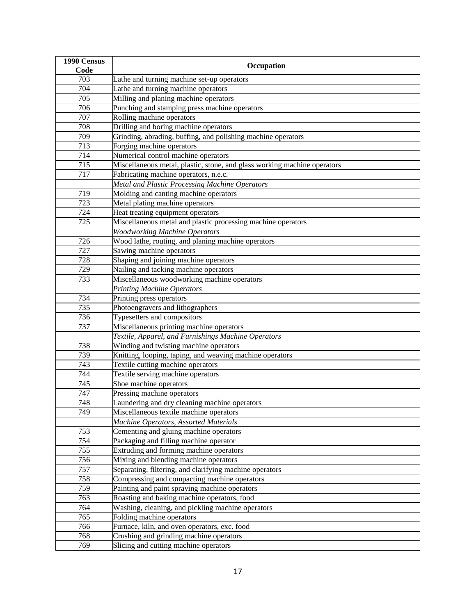| 1990 Census      | Occupation                                                               |
|------------------|--------------------------------------------------------------------------|
| Code             |                                                                          |
| 703              | Lathe and turning machine set-up operators                               |
| 704              | Lathe and turning machine operators                                      |
| $\overline{7}05$ | Milling and planing machine operators                                    |
| 706              | Punching and stamping press machine operators                            |
| 707              | Rolling machine operators                                                |
| 708              | Drilling and boring machine operators                                    |
| 709              | Grinding, abrading, buffing, and polishing machine operators             |
| 713              | Forging machine operators                                                |
| 714              | Numerical control machine operators                                      |
| 715              | Miscellaneous metal, plastic, stone, and glass working machine operators |
| 717              | Fabricating machine operators, n.e.c.                                    |
|                  | Metal and Plastic Processing Machine Operators                           |
| 719              | Molding and canting machine operators                                    |
| 723              | Metal plating machine operators                                          |
| 724              | Heat treating equipment operators                                        |
| 725              | Miscellaneous metal and plastic processing machine operators             |
|                  | <b>Woodworking Machine Operators</b>                                     |
| 726              | Wood lathe, routing, and planing machine operators                       |
| 727              | Sawing machine operators                                                 |
| 728              | Shaping and joining machine operators                                    |
| 729              | Nailing and tacking machine operators                                    |
| 733              | Miscellaneous woodworking machine operators                              |
|                  | <b>Printing Machine Operators</b>                                        |
| 734              | Printing press operators                                                 |
| 735              | Photoengravers and lithographers                                         |
| 736              | Typesetters and compositors                                              |
| 737              | Miscellaneous printing machine operators                                 |
|                  | Textile, Apparel, and Furnishings Machine Operators                      |
| 738              | Winding and twisting machine operators                                   |
| 739              | Knitting, looping, taping, and weaving machine operators                 |
| 743              | Textile cutting machine operators                                        |
| 744              | Textile serving machine operators                                        |
| 745              | Shoe machine operators                                                   |
| 747              | Pressing machine operators                                               |
| 748              | Laundering and dry cleaning machine operators                            |
| 749              | Miscellaneous textile machine operators                                  |
|                  | <b>Machine Operators, Assorted Materials</b>                             |
| 753              | Cementing and gluing machine operators                                   |
| 754              | Packaging and filling machine operator                                   |
| 755              | Extruding and forming machine operators                                  |
| 756              | Mixing and blending machine operators                                    |
| 757              | Separating, filtering, and clarifying machine operators                  |
| 758              | Compressing and compacting machine operators                             |
| 759              | Painting and paint spraying machine operators                            |
| 763              | Roasting and baking machine operators, food                              |
| 764              | Washing, cleaning, and pickling machine operators                        |
| 765              | Folding machine operators                                                |
| 766              | Furnace, kiln, and oven operators, exc. food                             |
| 768              | Crushing and grinding machine operators                                  |
| 769              | Slicing and cutting machine operators                                    |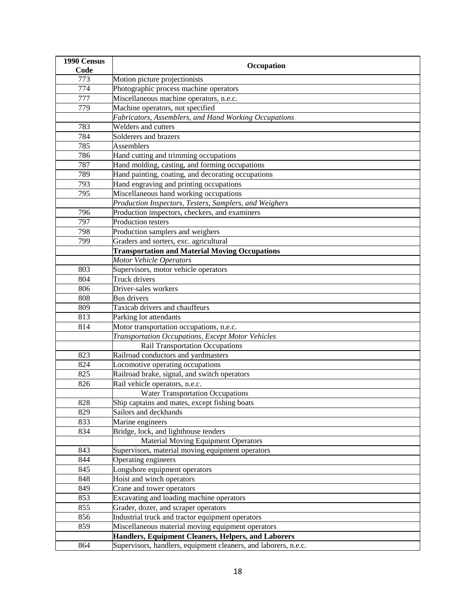| 1990 Census | Occupation                                                      |
|-------------|-----------------------------------------------------------------|
| Code        |                                                                 |
| 773         | Motion picture projectionists                                   |
| 774         | Photographic process machine operators                          |
| 777         | Miscellaneous machine operators, n.e.c.                         |
| 779         | Machine operators, not specified                                |
|             | Fabricators, Assemblers, and Hand Working Occupations           |
| 783         | Welders and cutters                                             |
| 784         | Solderers and brazers                                           |
| 785         | <b>Assemblers</b>                                               |
| 786         | Hand cutting and trimming occupations                           |
| 787         | Hand molding, casting, and forming occupations                  |
| 789         | Hand painting, coating, and decorating occupations              |
| 793         | Hand engraving and printing occupations                         |
| 795         | Miscellaneous hand working occupations                          |
|             | Production Inspectors, Testers, Samplers, and Weighers          |
| 796         | Production inspectors, checkers, and examiners                  |
| 797         | <b>Production testers</b>                                       |
| 798         | Production samplers and weighers                                |
| 799         | Graders and sorters, exc. agricultural                          |
|             | <b>Transportation and Material Moving Occupations</b>           |
|             | <b>Motor Vehicle Operators</b>                                  |
| 803         | Supervisors, motor vehicle operators                            |
| 804         | Truck drivers                                                   |
| 806         | Driver-sales workers                                            |
| 808         | <b>Bus drivers</b>                                              |
| 809         | Taxicab drivers and chauffeurs                                  |
| 813         | Parking lot attendants                                          |
| 814         | Motor transportation occupations, n.e.c.                        |
|             | Transportation Occupations, Except Motor Vehicles               |
|             | <b>Rail Transportation Occupations</b>                          |
| 823         | Railroad conductors and yardmasters                             |
| 824         | Locomotive operating occupations                                |
| 825         | Railroad brake, signal, and switch operators                    |
| 826         | Rail vehicle operators, n.e.c.                                  |
|             | <b>Water Transportation Occupations</b>                         |
| 828         | Ship captains and mates, except fishing boats                   |
| 829         | Sailors and deckhands                                           |
| 833         | Marine engineers                                                |
| 834         | Bridge, lock, and lighthouse tenders                            |
|             | <b>Material Moving Equipment Operators</b>                      |
| 843         | Supervisors, material moving equipment operators                |
| 844         | Operating engineers                                             |
| 845         | Longshore equipment operators                                   |
| 848         | Hoist and winch operators                                       |
| 849         | Crane and tower operators                                       |
| 853         | Excavating and loading machine operators                        |
| 855         | Grader, dozer, and scraper operators                            |
| 856         | Industrial truck and tractor equipment operators                |
| 859         | Miscellaneous material moving equipment operators               |
|             | Handlers, Equipment Cleaners, Helpers, and Laborers             |
| 864         | Supervisors, handlers, equipment cleaners, and laborers, n.e.c. |